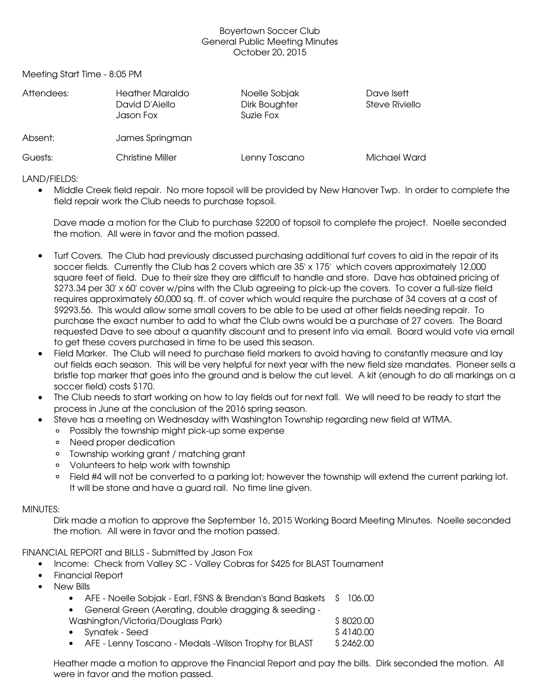## Boyertown Soccer Club General Public Meeting Minutes October 20, 2015

Meeting Start Time - 8:05 PM

| Attendees: | <b>Heather Maraldo</b><br>David D'Aiello<br>Jason Fox | Noelle Sobjak<br>Dirk Boughter<br>Suzie Fox | Dave Isett<br>Steve Riviello |
|------------|-------------------------------------------------------|---------------------------------------------|------------------------------|
| Absent:    | James Springman                                       |                                             |                              |
| Guests:    | <b>Christine Miller</b>                               | Lenny Toscano                               | Michael Ward                 |

LAND/FIELDS:

 Middle Creek field repair. No more topsoil will be provided by New Hanover Twp. In order to complete the field repair work the Club needs to purchase topsoil.

Dave made a motion for the Club to purchase \$2200 of topsoil to complete the project. Noelle seconded the motion. All were in favor and the motion passed.

- Turf Covers. The Club had previously discussed purchasing additional turf covers to aid in the repair of its soccer fields. Currently the Club has 2 covers which are 35' x 175' which covers approximately 12,000 square feet of field. Due to their size they are difficult to handle and store. Dave has obtained pricing of \$273.34 per 30' x 60' cover w/pins with the Club agreeing to pick-up the covers. To cover a full-size field requires approximately 60,000 sq. ft. of cover which would require the purchase of 34 covers at a cost of \$9293.56. This would allow some small covers to be able to be used at other fields needing repair. To purchase the exact number to add to what the Club owns would be a purchase of 27 covers. The Board requested Dave to see about a quantity discount and to present info via email. Board would vote via email to get these covers purchased in time to be used this season.
- Field Marker. The Club will need to purchase field markers to avoid having to constantly measure and lay out fields each season. This will be very helpful for next year with the new field size mandates. Pioneer sells a bristle top marker that goes into the ground and is below the cut level. A kit (enough to do all markings on a soccer field) costs \$170.
- The Club needs to start working on how to lay fields out for next fall. We will need to be ready to start the process in June at the conclusion of the 2016 spring season.
- Steve has a meeting on Wednesday with Washington Township regarding new field at WTMA.
	- Possibly the township might pick-up some expense
	- Need proper dedication
	- Township working grant / matching grant
	- Volunteers to help work with township
	- Field #4 will not be converted to a parking lot; however the township will extend the current parking lot. It will be stone and have a guard rail. No time line given.

# MINUTES:

Dirk made a motion to approve the September 16, 2015 Working Board Meeting Minutes. Noelle seconded the motion. All were in favor and the motion passed.

FINANCIAL REPORT and BILLS - Submitted by Jason Fox

- Income: Check from Valley SC Valley Cobras for \$425 for BLAST Tournament
- Financial Report
- New Bills

|                                    | • AFE - Noelle Sobjak - Earl, FSNS & Brendan's Band Baskets \$106.00 |  |            |
|------------------------------------|----------------------------------------------------------------------|--|------------|
|                                    | • General Green (Aerating, double dragging & seeding -               |  |            |
| Washington/Victoria/Douglass Park) |                                                                      |  | \$8020.00  |
|                                    | • Synatek - Seed                                                     |  | \$4140.00  |
|                                    | AFF Lonny Tosonno Modele Wilson Trophy for DLACT                     |  | A O ALO OO |

• AFE - Lenny Toscano - Medals -Wilson Trophy for BLAST \$ 2462.00

Heather made a motion to approve the Financial Report and pay the bills. Dirk seconded the motion. All were in favor and the motion passed.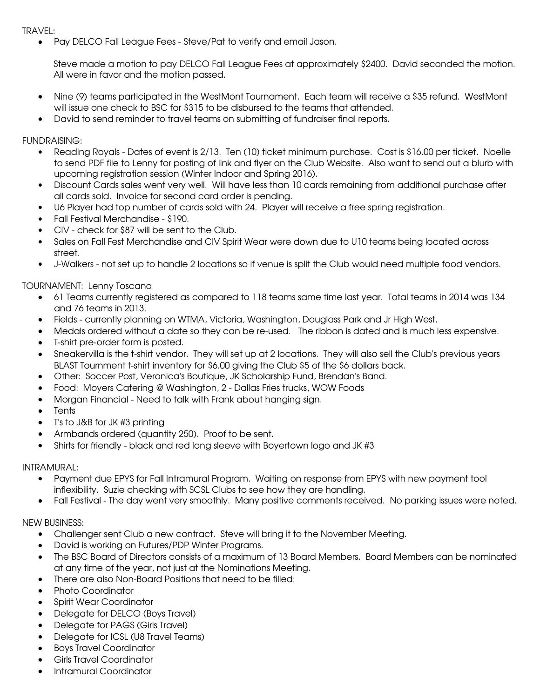#### TRAVEL:

• Pay DELCO Fall League Fees - Steve/Pat to verify and email Jason.

Steve made a motion to pay DELCO Fall League Fees at approximately \$2400. David seconded the motion. All were in favor and the motion passed.

- Nine (9) teams participated in the WestMont Tournament. Each team will receive a \$35 refund. WestMont will issue one check to BSC for \$315 to be disbursed to the teams that attended.
- David to send reminder to travel teams on submitting of fundraiser final reports.

FUNDRAISING:

- Reading Royals Dates of event is 2/13. Ten (10) ticket minimum purchase. Cost is \$16.00 per ticket. Noelle to send PDF file to Lenny for posting of link and flyer on the Club Website. Also want to send out a blurb with upcoming registration session (Winter Indoor and Spring 2016).
- Discount Cards sales went very well. Will have less than 10 cards remaining from additional purchase after all cards sold. Invoice for second card order is pending.
- U6 Player had top number of cards sold with 24. Player will receive a free spring registration.
- Fall Festival Merchandise \$190.
- CIV check for \$87 will be sent to the Club.
- Sales on Fall Fest Merchandise and CIV Spirit Wear were down due to U10 teams being located across street.
- JWalkers not set up to handle 2 locations so if venue is split the Club would need multiple food vendors.

### TOURNAMENT: Lenny Toscano

- 61 Teams currently registered as compared to 118 teams same time last year. Total teams in 2014 was 134 and 76 teams in 2013.
- Fields currently planning on WTMA, Victoria, Washington, Douglass Park and Jr High West.
- Medals ordered without a date so they can be re-used. The ribbon is dated and is much less expensive.
- T-shirt pre-order form is posted.
- Sneakervilla is the tshirt vendor. They will set up at 2 locations. They will also sell the Club's previous years BLAST Tournment tshirt inventory for \$6.00 giving the Club \$5 of the \$6 dollars back.
- Other: Soccer Post, Veronica's Boutique, JK Scholarship Fund, Brendan's Band.
- Food: Moyers Catering @ Washington, 2 Dallas Fries trucks, WOW Foods
- Morgan Financial Need to talk with Frank about hanging sign.
- Tents
- T's to J&B for JK #3 printing
- Armbands ordered (quantity 250). Proof to be sent.
- Shirts for friendly black and red long sleeve with Boyertown logo and JK #3

### INTRAMURAL:

- Payment due EPYS for Fall Intramural Program. Waiting on response from EPYS with new payment tool inflexibility. Suzie checking with SCSL Clubs to see how they are handling.
- Fall Festival The day went very smoothly. Many positive comments received. No parking issues were noted.

### NEW BUSINESS:

- Challenger sent Club a new contract. Steve will bring it to the November Meeting.
- David is working on Futures/PDP Winter Programs.
- The BSC Board of Directors consists of a maximum of 13 Board Members. Board Members can be nominated at any time of the year, not just at the Nominations Meeting.
- There are also Non-Board Positions that need to be filled:
- Photo Coordinator
- Spirit Wear Coordinator
- Delegate for DELCO (Boys Travel)
- Delegate for PAGS (Girls Travel)
- Delegate for ICSL (U8 Travel Teams)
- Boys Travel Coordinator
- Girls Travel Coordinator
- Intramural Coordinator